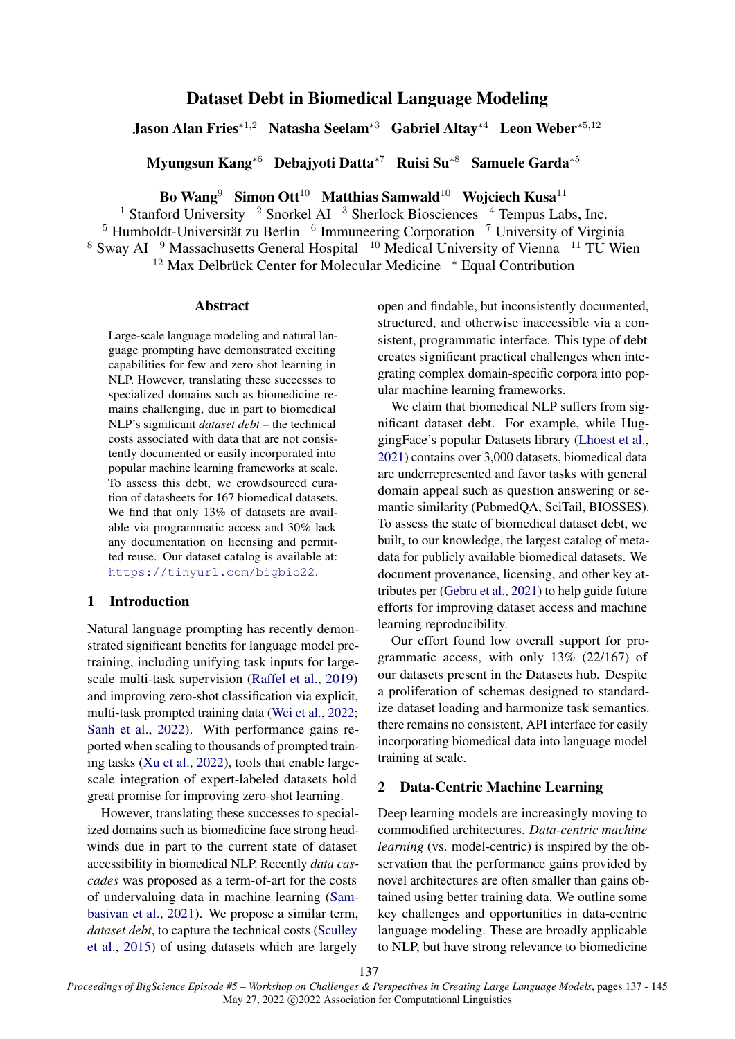# Dataset Debt in Biomedical Language Modeling

Jason Alan Fries∗1,<sup>2</sup> Natasha Seelam∗<sup>3</sup> Gabriel Altay∗<sup>4</sup> Leon Weber∗5,<sup>12</sup>

Myungsun Kang∗<sup>6</sup> Debajyoti Datta∗<sup>7</sup> Ruisi Su∗<sup>8</sup> Samuele Garda∗<sup>5</sup>

Bo Wang<sup>9</sup> Simon Ott<sup>10</sup> Matthias Samwald<sup>10</sup> Wojciech Kusa<sup>11</sup>

<sup>1</sup> Stanford University <sup>2</sup> Snorkel AI <sup>3</sup> Sherlock Biosciences <sup>4</sup> Tempus Labs, Inc.  $5$  Humboldt-Universität zu Berlin  $6$  Immuneering Corporation  $7$  University of Virginia <sup>8</sup> Sway AI <sup>9</sup> Massachusetts General Hospital <sup>10</sup> Medical University of Vienna <sup>11</sup> TU Wien <sup>12</sup> Max Delbrück Center for Molecular Medicine \* Equal Contribution

## Abstract

Large-scale language modeling and natural language prompting have demonstrated exciting capabilities for few and zero shot learning in NLP. However, translating these successes to specialized domains such as biomedicine remains challenging, due in part to biomedical NLP's significant *dataset debt* – the technical costs associated with data that are not consistently documented or easily incorporated into popular machine learning frameworks at scale. To assess this debt, we crowdsourced curation of datasheets for 167 biomedical datasets. We find that only 13% of datasets are available via programmatic access and 30% lack any documentation on licensing and permitted reuse. Our dataset catalog is available at: <https://tinyurl.com/bigbio22>.

## 1 Introduction

Natural language prompting has recently demonstrated significant benefits for language model pretraining, including unifying task inputs for largescale multi-task supervision [\(Raffel et al.,](#page-5-0) [2019\)](#page-5-0) and improving zero-shot classification via explicit, multi-task prompted training data [\(Wei et al.,](#page-5-1) [2022;](#page-5-1) [Sanh et al.,](#page-5-2) [2022\)](#page-5-2). With performance gains reported when scaling to thousands of prompted training tasks [\(Xu et al.,](#page-6-0) [2022\)](#page-6-0), tools that enable largescale integration of expert-labeled datasets hold great promise for improving zero-shot learning.

However, translating these successes to specialized domains such as biomedicine face strong headwinds due in part to the current state of dataset accessibility in biomedical NLP. Recently *data cascades* was proposed as a term-of-art for the costs of undervaluing data in machine learning [\(Sam](#page-5-3)[basivan et al.,](#page-5-3) [2021\)](#page-5-3). We propose a similar term, *dataset debt*, to capture the technical costs [\(Sculley](#page-5-4) [et al.,](#page-5-4) [2015\)](#page-5-4) of using datasets which are largely

open and findable, but inconsistently documented, structured, and otherwise inaccessible via a consistent, programmatic interface. This type of debt creates significant practical challenges when integrating complex domain-specific corpora into popular machine learning frameworks.

We claim that biomedical NLP suffers from significant dataset debt. For example, while HuggingFace's popular Datasets library [\(Lhoest et al.,](#page-5-5) [2021\)](#page-5-5) contains over 3,000 datasets, biomedical data are underrepresented and favor tasks with general domain appeal such as question answering or semantic similarity (PubmedQA, SciTail, BIOSSES). To assess the state of biomedical dataset debt, we built, to our knowledge, the largest catalog of metadata for publicly available biomedical datasets. We document provenance, licensing, and other key attributes per [\(Gebru et al.,](#page-4-0) [2021\)](#page-4-0) to help guide future efforts for improving dataset access and machine learning reproducibility.

Our effort found low overall support for programmatic access, with only 13% (22/167) of our datasets present in the Datasets hub. Despite a proliferation of schemas designed to standardize dataset loading and harmonize task semantics. there remains no consistent, API interface for easily incorporating biomedical data into language model training at scale.

## 2 Data-Centric Machine Learning

Deep learning models are increasingly moving to commodified architectures. *Data-centric machine learning* (vs. model-centric) is inspired by the observation that the performance gains provided by novel architectures are often smaller than gains obtained using better training data. We outline some key challenges and opportunities in data-centric language modeling. These are broadly applicable to NLP, but have strong relevance to biomedicine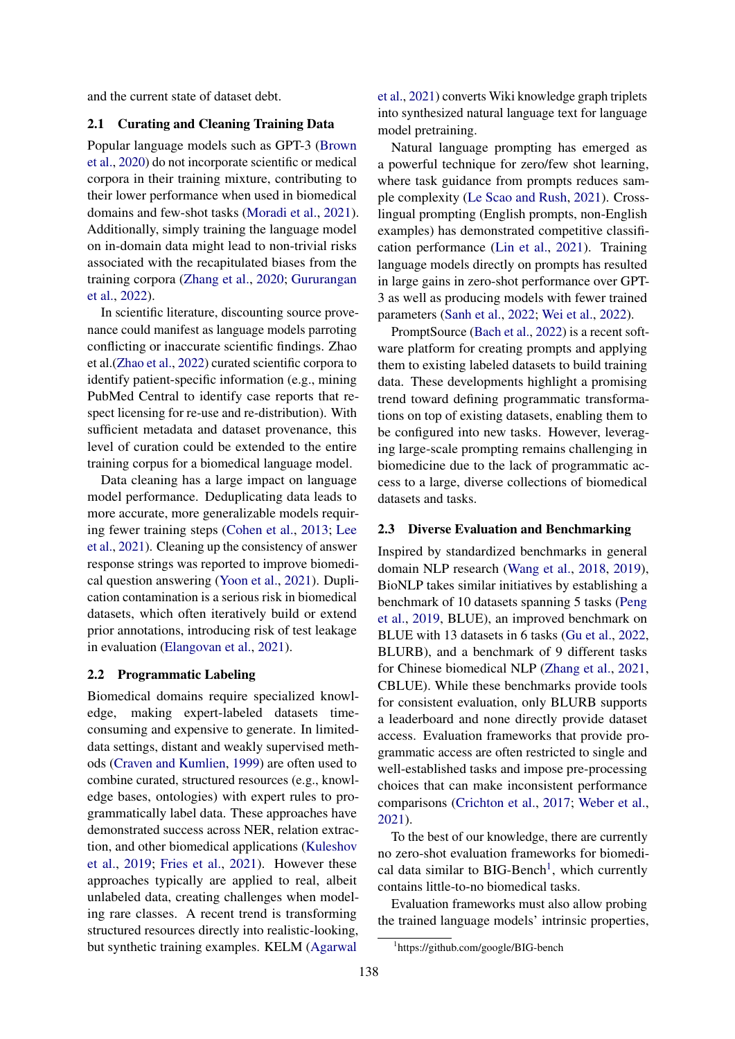and the current state of dataset debt.

### 2.1 Curating and Cleaning Training Data

Popular language models such as GPT-3 [\(Brown](#page-4-1) [et al.,](#page-4-1) [2020\)](#page-4-1) do not incorporate scientific or medical corpora in their training mixture, contributing to their lower performance when used in biomedical domains and few-shot tasks [\(Moradi et al.,](#page-5-6) [2021\)](#page-5-6). Additionally, simply training the language model on in-domain data might lead to non-trivial risks associated with the recapitulated biases from the training corpora [\(Zhang et al.,](#page-6-1) [2020;](#page-6-1) [Gururangan](#page-4-2) [et al.,](#page-4-2) [2022\)](#page-4-2).

In scientific literature, discounting source provenance could manifest as language models parroting conflicting or inaccurate scientific findings. Zhao et al.[\(Zhao et al.,](#page-6-2) [2022\)](#page-6-2) curated scientific corpora to identify patient-specific information (e.g., mining PubMed Central to identify case reports that respect licensing for re-use and re-distribution). With sufficient metadata and dataset provenance, this level of curation could be extended to the entire training corpus for a biomedical language model.

Data cleaning has a large impact on language model performance. Deduplicating data leads to more accurate, more generalizable models requiring fewer training steps [\(Cohen et al.,](#page-4-3) [2013;](#page-4-3) [Lee](#page-5-7) [et al.,](#page-5-7) [2021\)](#page-5-7). Cleaning up the consistency of answer response strings was reported to improve biomedical question answering [\(Yoon et al.,](#page-6-3) [2021\)](#page-6-3). Duplication contamination is a serious risk in biomedical datasets, which often iteratively build or extend prior annotations, introducing risk of test leakage in evaluation [\(Elangovan et al.,](#page-4-4) [2021\)](#page-4-4).

#### 2.2 Programmatic Labeling

Biomedical domains require specialized knowledge, making expert-labeled datasets timeconsuming and expensive to generate. In limiteddata settings, distant and weakly supervised methods [\(Craven and Kumlien,](#page-4-5) [1999\)](#page-4-5) are often used to combine curated, structured resources (e.g., knowledge bases, ontologies) with expert rules to programmatically label data. These approaches have demonstrated success across NER, relation extraction, and other biomedical applications [\(Kuleshov](#page-4-6) [et al.,](#page-4-6) [2019;](#page-4-6) [Fries et al.,](#page-4-7) [2021\)](#page-4-7). However these approaches typically are applied to real, albeit unlabeled data, creating challenges when modeling rare classes. A recent trend is transforming structured resources directly into realistic-looking, but synthetic training examples. KELM [\(Agarwal](#page-4-8)

[et al.,](#page-4-8) [2021\)](#page-4-8) converts Wiki knowledge graph triplets into synthesized natural language text for language model pretraining.

Natural language prompting has emerged as a powerful technique for zero/few shot learning, where task guidance from prompts reduces sample complexity [\(Le Scao and Rush,](#page-4-9) [2021\)](#page-4-9). Crosslingual prompting (English prompts, non-English examples) has demonstrated competitive classification performance [\(Lin et al.,](#page-5-8) [2021\)](#page-5-8). Training language models directly on prompts has resulted in large gains in zero-shot performance over GPT-3 as well as producing models with fewer trained parameters [\(Sanh et al.,](#page-5-2) [2022;](#page-5-2) [Wei et al.,](#page-5-1) [2022\)](#page-5-1).

PromptSource [\(Bach et al.,](#page-4-10) [2022\)](#page-4-10) is a recent software platform for creating prompts and applying them to existing labeled datasets to build training data. These developments highlight a promising trend toward defining programmatic transformations on top of existing datasets, enabling them to be configured into new tasks. However, leveraging large-scale prompting remains challenging in biomedicine due to the lack of programmatic access to a large, diverse collections of biomedical datasets and tasks.

#### 2.3 Diverse Evaluation and Benchmarking

Inspired by standardized benchmarks in general domain NLP research [\(Wang et al.,](#page-5-9) [2018,](#page-5-9) [2019\)](#page-5-10), BioNLP takes similar initiatives by establishing a benchmark of 10 datasets spanning 5 tasks [\(Peng](#page-5-11) [et al.,](#page-5-11) [2019,](#page-5-11) BLUE), an improved benchmark on BLUE with 13 datasets in 6 tasks [\(Gu et al.,](#page-4-11) [2022,](#page-4-11) BLURB), and a benchmark of 9 different tasks for Chinese biomedical NLP [\(Zhang et al.,](#page-6-4) [2021,](#page-6-4) CBLUE). While these benchmarks provide tools for consistent evaluation, only BLURB supports a leaderboard and none directly provide dataset access. Evaluation frameworks that provide programmatic access are often restricted to single and well-established tasks and impose pre-processing choices that can make inconsistent performance comparisons [\(Crichton et al.,](#page-4-12) [2017;](#page-4-12) [Weber et al.,](#page-5-12) [2021\)](#page-5-12).

To the best of our knowledge, there are currently no zero-shot evaluation frameworks for biomedical data similar to  $BIG-Bench<sup>1</sup>$  $BIG-Bench<sup>1</sup>$  $BIG-Bench<sup>1</sup>$ , which currently contains little-to-no biomedical tasks.

Evaluation frameworks must also allow probing the trained language models' intrinsic properties,

<span id="page-1-0"></span><sup>1</sup> https://github.com/google/BIG-bench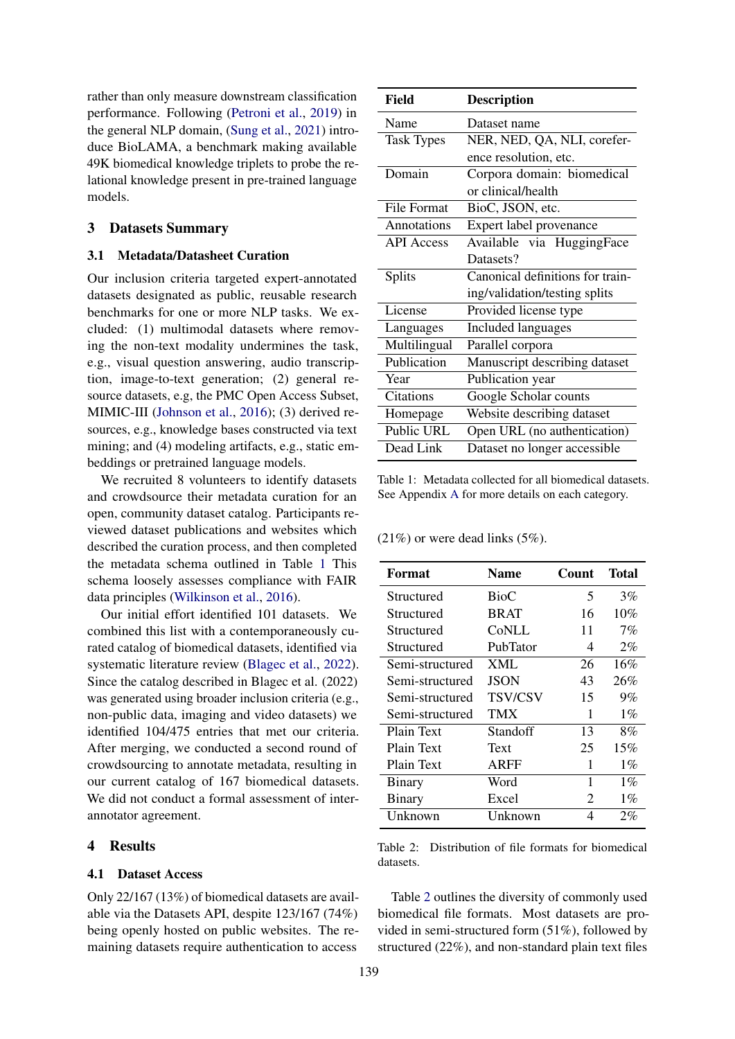rather than only measure downstream classification performance. Following [\(Petroni et al.,](#page-5-13) [2019\)](#page-5-13) in the general NLP domain, [\(Sung et al.,](#page-5-14) [2021\)](#page-5-14) introduce BioLAMA, a benchmark making available 49K biomedical knowledge triplets to probe the relational knowledge present in pre-trained language models.

## 3 Datasets Summary

#### 3.1 Metadata/Datasheet Curation

Our inclusion criteria targeted expert-annotated datasets designated as public, reusable research benchmarks for one or more NLP tasks. We excluded: (1) multimodal datasets where removing the non-text modality undermines the task, e.g., visual question answering, audio transcription, image-to-text generation; (2) general resource datasets, e.g, the PMC Open Access Subset, MIMIC-III [\(Johnson et al.,](#page-4-13) [2016\)](#page-4-13); (3) derived resources, e.g., knowledge bases constructed via text mining; and (4) modeling artifacts, e.g., static embeddings or pretrained language models.

We recruited 8 volunteers to identify datasets and crowdsource their metadata curation for an open, community dataset catalog. Participants reviewed dataset publications and websites which described the curation process, and then completed the metadata schema outlined in Table [1](#page-2-0) This schema loosely assesses compliance with FAIR data principles [\(Wilkinson et al.,](#page-6-5) [2016\)](#page-6-5).

Our initial effort identified 101 datasets. We combined this list with a contemporaneously curated catalog of biomedical datasets, identified via systematic literature review [\(Blagec et al.,](#page-4-14) [2022\)](#page-4-14). Since the catalog described in Blagec et al. (2022) was generated using broader inclusion criteria (e.g., non-public data, imaging and video datasets) we identified 104/475 entries that met our criteria. After merging, we conducted a second round of crowdsourcing to annotate metadata, resulting in our current catalog of 167 biomedical datasets. We did not conduct a formal assessment of interannotator agreement.

## 4 Results

## 4.1 Dataset Access

Only 22/167 (13%) of biomedical datasets are available via the Datasets API, despite 123/167 (74%) being openly hosted on public websites. The remaining datasets require authentication to access

<span id="page-2-0"></span>

| Field              | <b>Description</b>               |  |
|--------------------|----------------------------------|--|
| Name               | Dataset name                     |  |
| <b>Task Types</b>  | NER, NED, QA, NLI, corefer-      |  |
|                    | ence resolution, etc.            |  |
| Domain             | Corpora domain: biomedical       |  |
|                    | or clinical/health               |  |
| <b>File Format</b> | BioC, JSON, etc.                 |  |
| Annotations        | Expert label provenance          |  |
| <b>API</b> Access  | Available via HuggingFace        |  |
|                    | Datasets?                        |  |
| <b>Splits</b>      | Canonical definitions for train- |  |
|                    | ing/validation/testing splits    |  |
| License            | Provided license type            |  |
| Languages          | <b>Included languages</b>        |  |
| Multilingual       | Parallel corpora                 |  |
| Publication        | Manuscript describing dataset    |  |
| Year               | Publication year                 |  |
| <b>Citations</b>   | Google Scholar counts            |  |
| Homepage           | Website describing dataset       |  |
| Public URL         | Open URL (no authentication)     |  |
| Dead Link          | Dataset no longer accessible     |  |

Table 1: Metadata collected for all biomedical datasets. See Appendix [A](#page-6-6) for more details on each category.

 $(21\%)$  or were dead links  $(5\%)$ .

<span id="page-2-1"></span>

| Format          | Name           | Count | Total |
|-----------------|----------------|-------|-------|
| Structured      | BioC           | 5     | 3%    |
| Structured      | <b>BRAT</b>    | 16    | 10%   |
| Structured      | CoNLL          | 11    | $7\%$ |
| Structured      | PubTator       | 4     | $2\%$ |
| Semi-structured | XML            | 26    | 16%   |
| Semi-structured | <b>JSON</b>    | 43    | 26%   |
| Semi-structured | <b>TSV/CSV</b> | 15    | $9\%$ |
| Semi-structured | TMX            | 1     | $1\%$ |
| Plain Text      | Standoff       | 13    | 8%    |
| Plain Text      | Text           | 25    | 15%   |
| Plain Text      | <b>ARFF</b>    | 1     | $1\%$ |
| Binary          | Word           | 1     | $1\%$ |
| Binary          | Excel          | 2     | $1\%$ |
| Unknown         | Unknown        | 4     | $2\%$ |

Table 2: Distribution of file formats for biomedical datasets.

Table [2](#page-2-1) outlines the diversity of commonly used biomedical file formats. Most datasets are provided in semi-structured form (51%), followed by structured (22%), and non-standard plain text files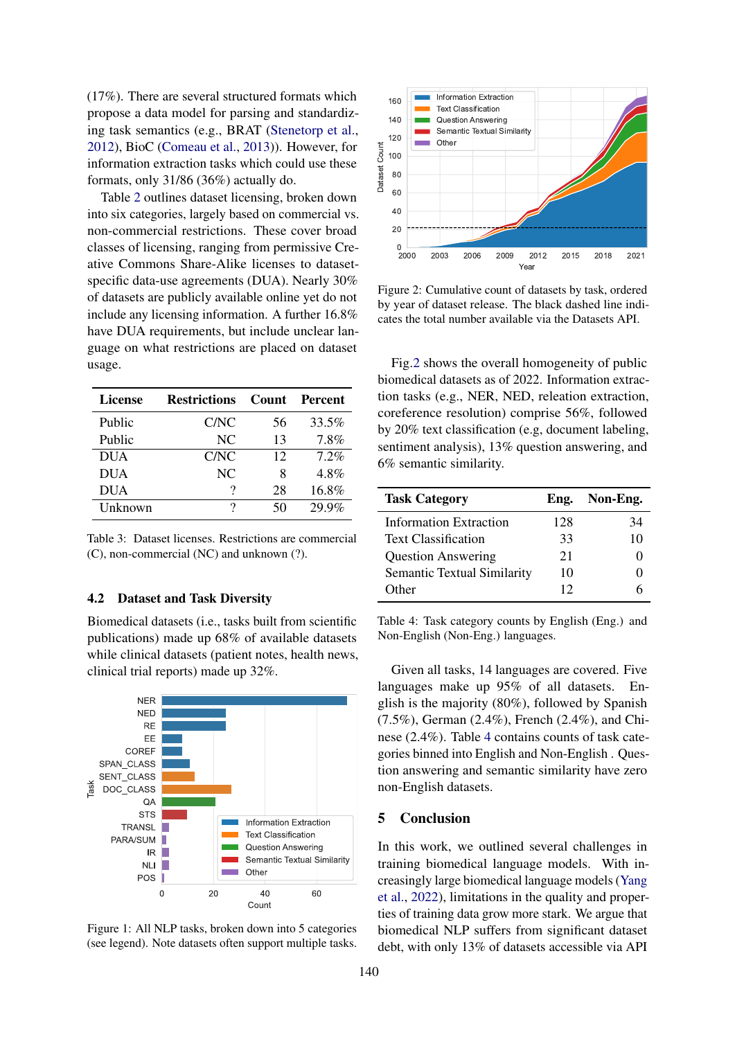(17%). There are several structured formats which propose a data model for parsing and standardizing task semantics (e.g., BRAT [\(Stenetorp et al.,](#page-5-15) [2012\)](#page-5-15), BioC [\(Comeau et al.,](#page-4-15) [2013\)](#page-4-15)). However, for information extraction tasks which could use these formats, only 31/86 (36%) actually do.

Table [2](#page-2-1) outlines dataset licensing, broken down into six categories, largely based on commercial vs. non-commercial restrictions. These cover broad classes of licensing, ranging from permissive Creative Commons Share-Alike licenses to datasetspecific data-use agreements (DUA). Nearly 30% of datasets are publicly available online yet do not include any licensing information. A further 16.8% have DUA requirements, but include unclear language on what restrictions are placed on dataset usage.

| License    | <b>Restrictions</b> |    | Count Percent |
|------------|---------------------|----|---------------|
| Public     | C/NC                | 56 | 33.5%         |
| Public     | NC                  | 13 | 7.8%          |
| <b>DUA</b> | C/NC                | 12 | 7.2%          |
| <b>DUA</b> | NC.                 | 8  | 4.8%          |
| <b>DUA</b> | ?                   | 28 | 16.8%         |
| Unknown    | 7                   | 50 | 29.9%         |

Table 3: Dataset licenses. Restrictions are commercial (C), non-commercial (NC) and unknown (?).

### 4.2 Dataset and Task Diversity

Biomedical datasets (i.e., tasks built from scientific publications) made up 68% of available datasets while clinical datasets (patient notes, health news, clinical trial reports) made up 32%.



Figure 1: All NLP tasks, broken down into 5 categories (see legend). Note datasets often support multiple tasks.

<span id="page-3-0"></span>

Figure 2: Cumulative count of datasets by task, ordered by year of dataset release. The black dashed line indicates the total number available via the Datasets API.

Fig[.2](#page-3-0) shows the overall homogeneity of public biomedical datasets as of 2022. Information extraction tasks (e.g., NER, NED, releation extraction, coreference resolution) comprise 56%, followed by 20% text classification (e.g, document labeling, sentiment analysis), 13% question answering, and 6% semantic similarity.

<span id="page-3-1"></span>

| <b>Task Category</b>               | Eng. | Non-Eng.          |
|------------------------------------|------|-------------------|
| Information Extraction             | 128  | 34                |
| <b>Text Classification</b>         | 33   | 10                |
| <b>Question Answering</b>          | 21   | $\mathbf{\Omega}$ |
| <b>Semantic Textual Similarity</b> | 10   |                   |
| Other                              | 12   |                   |

Table 4: Task category counts by English (Eng.) and Non-English (Non-Eng.) languages.

Given all tasks, 14 languages are covered. Five languages make up 95% of all datasets. English is the majority (80%), followed by Spanish (7.5%), German (2.4%), French (2.4%), and Chinese (2.4%). Table [4](#page-3-1) contains counts of task categories binned into English and Non-English . Question answering and semantic similarity have zero non-English datasets.

## 5 Conclusion

In this work, we outlined several challenges in training biomedical language models. With increasingly large biomedical language models [\(Yang](#page-6-7) [et al.,](#page-6-7) [2022\)](#page-6-7), limitations in the quality and properties of training data grow more stark. We argue that biomedical NLP suffers from significant dataset debt, with only 13% of datasets accessible via API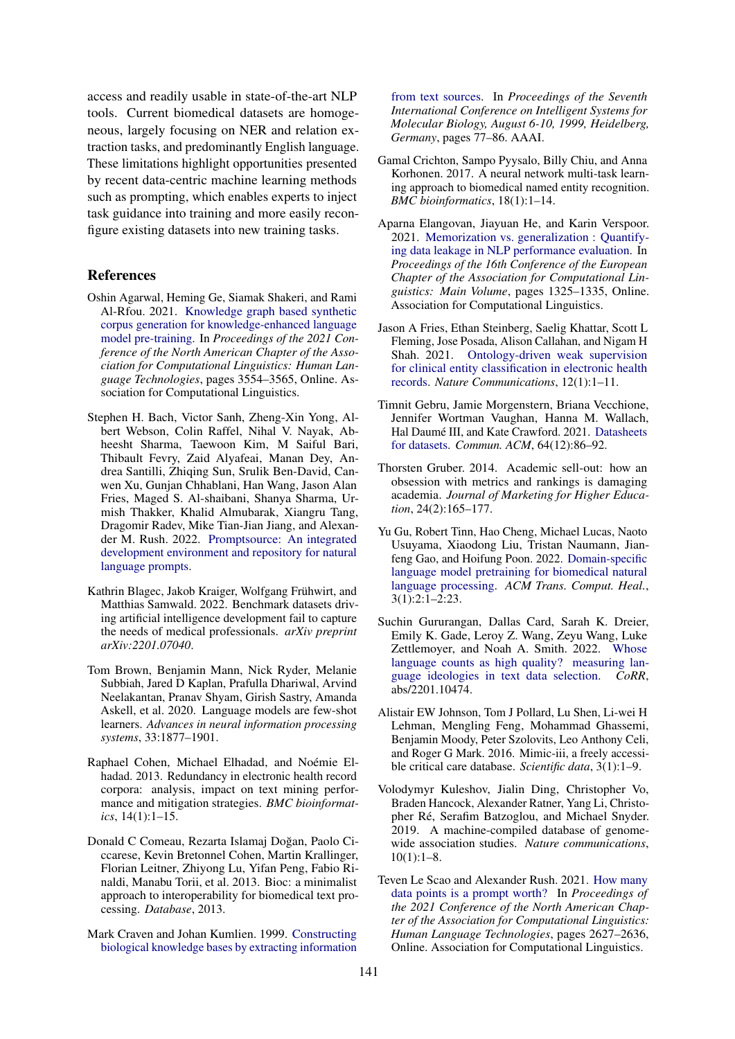access and readily usable in state-of-the-art NLP tools. Current biomedical datasets are homogeneous, largely focusing on NER and relation extraction tasks, and predominantly English language. These limitations highlight opportunities presented by recent data-centric machine learning methods such as prompting, which enables experts to inject task guidance into training and more easily reconfigure existing datasets into new training tasks.

### References

- <span id="page-4-8"></span>Oshin Agarwal, Heming Ge, Siamak Shakeri, and Rami Al-Rfou. 2021. [Knowledge graph based synthetic](https://doi.org/10.18653/v1/2021.naacl-main.278) [corpus generation for knowledge-enhanced language](https://doi.org/10.18653/v1/2021.naacl-main.278) [model pre-training.](https://doi.org/10.18653/v1/2021.naacl-main.278) In *Proceedings of the 2021 Conference of the North American Chapter of the Association for Computational Linguistics: Human Language Technologies*, pages 3554–3565, Online. Association for Computational Linguistics.
- <span id="page-4-10"></span>Stephen H. Bach, Victor Sanh, Zheng-Xin Yong, Albert Webson, Colin Raffel, Nihal V. Nayak, Abheesht Sharma, Taewoon Kim, M Saiful Bari, Thibault Fevry, Zaid Alyafeai, Manan Dey, Andrea Santilli, Zhiqing Sun, Srulik Ben-David, Canwen Xu, Gunjan Chhablani, Han Wang, Jason Alan Fries, Maged S. Al-shaibani, Shanya Sharma, Urmish Thakker, Khalid Almubarak, Xiangru Tang, Dragomir Radev, Mike Tian-Jian Jiang, and Alexander M. Rush. 2022. [Promptsource: An integrated](https://arxiv.org/abs/2202.01279) [development environment and repository for natural](https://arxiv.org/abs/2202.01279) [language prompts.](https://arxiv.org/abs/2202.01279)
- <span id="page-4-14"></span>Kathrin Blagec, Jakob Kraiger, Wolfgang Frühwirt, and Matthias Samwald. 2022. Benchmark datasets driving artificial intelligence development fail to capture the needs of medical professionals. *arXiv preprint arXiv:2201.07040*.
- <span id="page-4-1"></span>Tom Brown, Benjamin Mann, Nick Ryder, Melanie Subbiah, Jared D Kaplan, Prafulla Dhariwal, Arvind Neelakantan, Pranav Shyam, Girish Sastry, Amanda Askell, et al. 2020. Language models are few-shot learners. *Advances in neural information processing systems*, 33:1877–1901.
- <span id="page-4-3"></span>Raphael Cohen, Michael Elhadad, and Noémie Elhadad. 2013. Redundancy in electronic health record corpora: analysis, impact on text mining performance and mitigation strategies. *BMC bioinformatics*, 14(1):1–15.
- <span id="page-4-15"></span>Donald C Comeau, Rezarta Islamaj Doğan, Paolo Ciccarese, Kevin Bretonnel Cohen, Martin Krallinger, Florian Leitner, Zhiyong Lu, Yifan Peng, Fabio Rinaldi, Manabu Torii, et al. 2013. Bioc: a minimalist approach to interoperability for biomedical text processing. *Database*, 2013.
- <span id="page-4-5"></span>Mark Craven and Johan Kumlien. 1999. [Constructing](http://www.aaai.org/Library/ISMB/1999/ismb99-010.php) [biological knowledge bases by extracting information](http://www.aaai.org/Library/ISMB/1999/ismb99-010.php)

[from text sources.](http://www.aaai.org/Library/ISMB/1999/ismb99-010.php) In *Proceedings of the Seventh International Conference on Intelligent Systems for Molecular Biology, August 6-10, 1999, Heidelberg, Germany*, pages 77–86. AAAI.

- <span id="page-4-12"></span>Gamal Crichton, Sampo Pyysalo, Billy Chiu, and Anna Korhonen. 2017. A neural network multi-task learning approach to biomedical named entity recognition. *BMC bioinformatics*, 18(1):1–14.
- <span id="page-4-4"></span>Aparna Elangovan, Jiayuan He, and Karin Verspoor. 2021. [Memorization vs. generalization : Quantify](https://doi.org/10.18653/v1/2021.eacl-main.113)[ing data leakage in NLP performance evaluation.](https://doi.org/10.18653/v1/2021.eacl-main.113) In *Proceedings of the 16th Conference of the European Chapter of the Association for Computational Linguistics: Main Volume*, pages 1325–1335, Online. Association for Computational Linguistics.
- <span id="page-4-7"></span>Jason A Fries, Ethan Steinberg, Saelig Khattar, Scott L Fleming, Jose Posada, Alison Callahan, and Nigam H Shah. 2021. [Ontology-driven weak supervision](https://doi.org/10.1038/s41467-021-22328-4) [for clinical entity classification in electronic health](https://doi.org/10.1038/s41467-021-22328-4) [records.](https://doi.org/10.1038/s41467-021-22328-4) *Nature Communications*, 12(1):1–11.
- <span id="page-4-0"></span>Timnit Gebru, Jamie Morgenstern, Briana Vecchione, Jennifer Wortman Vaughan, Hanna M. Wallach, Hal Daumé III, and Kate Crawford. 2021. [Datasheets](https://doi.org/10.1145/3458723) [for datasets.](https://doi.org/10.1145/3458723) *Commun. ACM*, 64(12):86–92.
- <span id="page-4-16"></span>Thorsten Gruber. 2014. Academic sell-out: how an obsession with metrics and rankings is damaging academia. *Journal of Marketing for Higher Education*, 24(2):165–177.
- <span id="page-4-11"></span>Yu Gu, Robert Tinn, Hao Cheng, Michael Lucas, Naoto Usuyama, Xiaodong Liu, Tristan Naumann, Jianfeng Gao, and Hoifung Poon. 2022. [Domain-specific](https://doi.org/10.1145/3458754) [language model pretraining for biomedical natural](https://doi.org/10.1145/3458754) [language processing.](https://doi.org/10.1145/3458754) *ACM Trans. Comput. Heal.*,  $3(1):2:1-2:23.$
- <span id="page-4-2"></span>Suchin Gururangan, Dallas Card, Sarah K. Dreier, Emily K. Gade, Leroy Z. Wang, Zeyu Wang, Luke Zettlemoyer, and Noah A. Smith. 2022. [Whose](http://arxiv.org/abs/2201.10474) [language counts as high quality? measuring lan](http://arxiv.org/abs/2201.10474)[guage ideologies in text data selection.](http://arxiv.org/abs/2201.10474) *CoRR*, abs/2201.10474.
- <span id="page-4-13"></span>Alistair EW Johnson, Tom J Pollard, Lu Shen, Li-wei H Lehman, Mengling Feng, Mohammad Ghassemi, Benjamin Moody, Peter Szolovits, Leo Anthony Celi, and Roger G Mark. 2016. Mimic-iii, a freely accessible critical care database. *Scientific data*, 3(1):1–9.
- <span id="page-4-6"></span>Volodymyr Kuleshov, Jialin Ding, Christopher Vo, Braden Hancock, Alexander Ratner, Yang Li, Christopher Ré, Serafim Batzoglou, and Michael Snyder. 2019. A machine-compiled database of genomewide association studies. *Nature communications*, 10(1):1–8.
- <span id="page-4-9"></span>Teven Le Scao and Alexander Rush. 2021. [How many](https://doi.org/10.18653/v1/2021.naacl-main.208) [data points is a prompt worth?](https://doi.org/10.18653/v1/2021.naacl-main.208) In *Proceedings of the 2021 Conference of the North American Chapter of the Association for Computational Linguistics: Human Language Technologies*, pages 2627–2636, Online. Association for Computational Linguistics.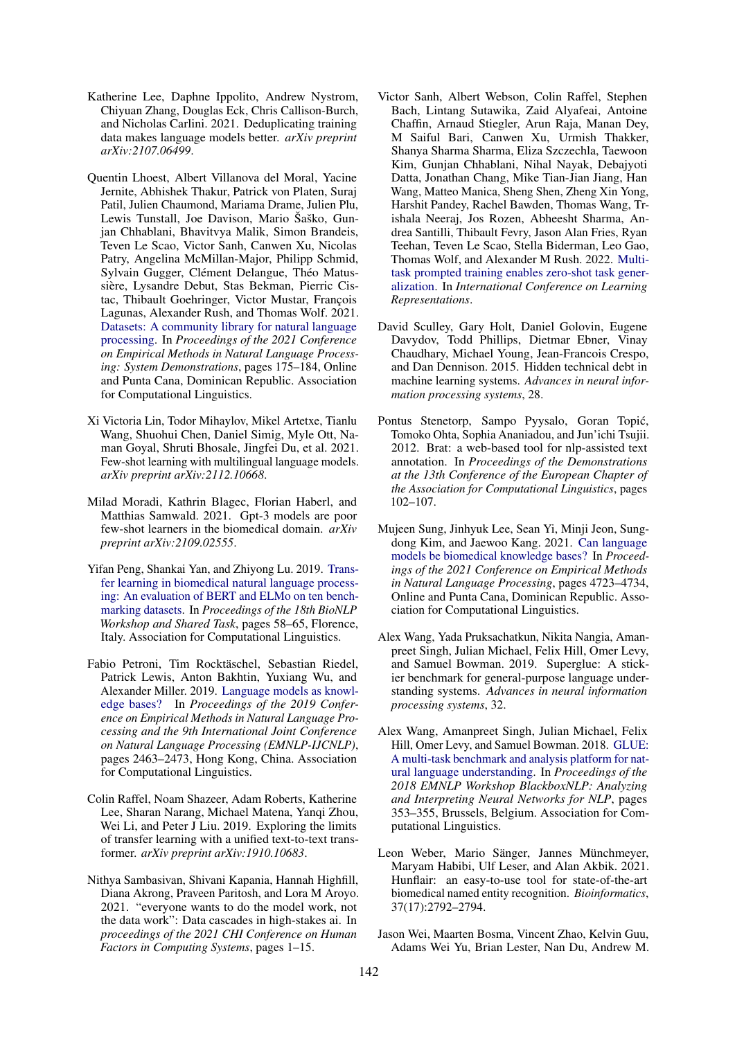- <span id="page-5-7"></span>Katherine Lee, Daphne Ippolito, Andrew Nystrom, Chiyuan Zhang, Douglas Eck, Chris Callison-Burch, and Nicholas Carlini. 2021. Deduplicating training data makes language models better. *arXiv preprint arXiv:2107.06499*.
- <span id="page-5-5"></span>Quentin Lhoest, Albert Villanova del Moral, Yacine Jernite, Abhishek Thakur, Patrick von Platen, Suraj Patil, Julien Chaumond, Mariama Drame, Julien Plu, Lewis Tunstall, Joe Davison, Mario Šaško, Gunjan Chhablani, Bhavitvya Malik, Simon Brandeis, Teven Le Scao, Victor Sanh, Canwen Xu, Nicolas Patry, Angelina McMillan-Major, Philipp Schmid, Sylvain Gugger, Clément Delangue, Théo Matussière, Lysandre Debut, Stas Bekman, Pierric Cistac, Thibault Goehringer, Victor Mustar, François Lagunas, Alexander Rush, and Thomas Wolf. 2021. [Datasets: A community library for natural language](https://doi.org/10.18653/v1/2021.emnlp-demo.21) [processing.](https://doi.org/10.18653/v1/2021.emnlp-demo.21) In *Proceedings of the 2021 Conference on Empirical Methods in Natural Language Processing: System Demonstrations*, pages 175–184, Online and Punta Cana, Dominican Republic. Association for Computational Linguistics.
- <span id="page-5-8"></span>Xi Victoria Lin, Todor Mihaylov, Mikel Artetxe, Tianlu Wang, Shuohui Chen, Daniel Simig, Myle Ott, Naman Goyal, Shruti Bhosale, Jingfei Du, et al. 2021. Few-shot learning with multilingual language models. *arXiv preprint arXiv:2112.10668*.
- <span id="page-5-6"></span>Milad Moradi, Kathrin Blagec, Florian Haberl, and Matthias Samwald. 2021. Gpt-3 models are poor few-shot learners in the biomedical domain. *arXiv preprint arXiv:2109.02555*.
- <span id="page-5-11"></span>Yifan Peng, Shankai Yan, and Zhiyong Lu. 2019. [Trans](https://doi.org/10.18653/v1/W19-5006)[fer learning in biomedical natural language process](https://doi.org/10.18653/v1/W19-5006)[ing: An evaluation of BERT and ELMo on ten bench](https://doi.org/10.18653/v1/W19-5006)[marking datasets.](https://doi.org/10.18653/v1/W19-5006) In *Proceedings of the 18th BioNLP Workshop and Shared Task*, pages 58–65, Florence, Italy. Association for Computational Linguistics.
- <span id="page-5-13"></span>Fabio Petroni, Tim Rocktäschel, Sebastian Riedel, Patrick Lewis, Anton Bakhtin, Yuxiang Wu, and Alexander Miller. 2019. [Language models as knowl](https://doi.org/10.18653/v1/D19-1250)[edge bases?](https://doi.org/10.18653/v1/D19-1250) In *Proceedings of the 2019 Conference on Empirical Methods in Natural Language Processing and the 9th International Joint Conference on Natural Language Processing (EMNLP-IJCNLP)*, pages 2463–2473, Hong Kong, China. Association for Computational Linguistics.
- <span id="page-5-0"></span>Colin Raffel, Noam Shazeer, Adam Roberts, Katherine Lee, Sharan Narang, Michael Matena, Yanqi Zhou, Wei Li, and Peter J Liu. 2019. Exploring the limits of transfer learning with a unified text-to-text transformer. *arXiv preprint arXiv:1910.10683*.
- <span id="page-5-3"></span>Nithya Sambasivan, Shivani Kapania, Hannah Highfill, Diana Akrong, Praveen Paritosh, and Lora M Aroyo. 2021. "everyone wants to do the model work, not the data work": Data cascades in high-stakes ai. In *proceedings of the 2021 CHI Conference on Human Factors in Computing Systems*, pages 1–15.
- <span id="page-5-2"></span>Victor Sanh, Albert Webson, Colin Raffel, Stephen Bach, Lintang Sutawika, Zaid Alyafeai, Antoine Chaffin, Arnaud Stiegler, Arun Raja, Manan Dey, M Saiful Bari, Canwen Xu, Urmish Thakker, Shanya Sharma Sharma, Eliza Szczechla, Taewoon Kim, Gunjan Chhablani, Nihal Nayak, Debajyoti Datta, Jonathan Chang, Mike Tian-Jian Jiang, Han Wang, Matteo Manica, Sheng Shen, Zheng Xin Yong, Harshit Pandey, Rachel Bawden, Thomas Wang, Trishala Neeraj, Jos Rozen, Abheesht Sharma, Andrea Santilli, Thibault Fevry, Jason Alan Fries, Ryan Teehan, Teven Le Scao, Stella Biderman, Leo Gao, Thomas Wolf, and Alexander M Rush. 2022. [Multi](https://openreview.net/forum?id=9Vrb9D0WI4)[task prompted training enables zero-shot task gener](https://openreview.net/forum?id=9Vrb9D0WI4)[alization.](https://openreview.net/forum?id=9Vrb9D0WI4) In *International Conference on Learning Representations*.
- <span id="page-5-4"></span>David Sculley, Gary Holt, Daniel Golovin, Eugene Davydov, Todd Phillips, Dietmar Ebner, Vinay Chaudhary, Michael Young, Jean-Francois Crespo, and Dan Dennison. 2015. Hidden technical debt in machine learning systems. *Advances in neural information processing systems*, 28.
- <span id="page-5-15"></span>Pontus Stenetorp, Sampo Pyysalo, Goran Topić, Tomoko Ohta, Sophia Ananiadou, and Jun'ichi Tsujii. 2012. Brat: a web-based tool for nlp-assisted text annotation. In *Proceedings of the Demonstrations at the 13th Conference of the European Chapter of the Association for Computational Linguistics*, pages 102–107.
- <span id="page-5-14"></span>Mujeen Sung, Jinhyuk Lee, Sean Yi, Minji Jeon, Sungdong Kim, and Jaewoo Kang. 2021. [Can language](https://doi.org/10.18653/v1/2021.emnlp-main.388) [models be biomedical knowledge bases?](https://doi.org/10.18653/v1/2021.emnlp-main.388) In *Proceedings of the 2021 Conference on Empirical Methods in Natural Language Processing*, pages 4723–4734, Online and Punta Cana, Dominican Republic. Association for Computational Linguistics.
- <span id="page-5-10"></span>Alex Wang, Yada Pruksachatkun, Nikita Nangia, Amanpreet Singh, Julian Michael, Felix Hill, Omer Levy, and Samuel Bowman. 2019. Superglue: A stickier benchmark for general-purpose language understanding systems. *Advances in neural information processing systems*, 32.
- <span id="page-5-9"></span>Alex Wang, Amanpreet Singh, Julian Michael, Felix Hill, Omer Levy, and Samuel Bowman. 2018. [GLUE:](https://doi.org/10.18653/v1/W18-5446) [A multi-task benchmark and analysis platform for nat](https://doi.org/10.18653/v1/W18-5446)[ural language understanding.](https://doi.org/10.18653/v1/W18-5446) In *Proceedings of the 2018 EMNLP Workshop BlackboxNLP: Analyzing and Interpreting Neural Networks for NLP*, pages 353–355, Brussels, Belgium. Association for Computational Linguistics.
- <span id="page-5-12"></span>Leon Weber, Mario Sänger, Jannes Münchmeyer, Maryam Habibi, Ulf Leser, and Alan Akbik. 2021. Hunflair: an easy-to-use tool for state-of-the-art biomedical named entity recognition. *Bioinformatics*, 37(17):2792–2794.
- <span id="page-5-1"></span>Jason Wei, Maarten Bosma, Vincent Zhao, Kelvin Guu, Adams Wei Yu, Brian Lester, Nan Du, Andrew M.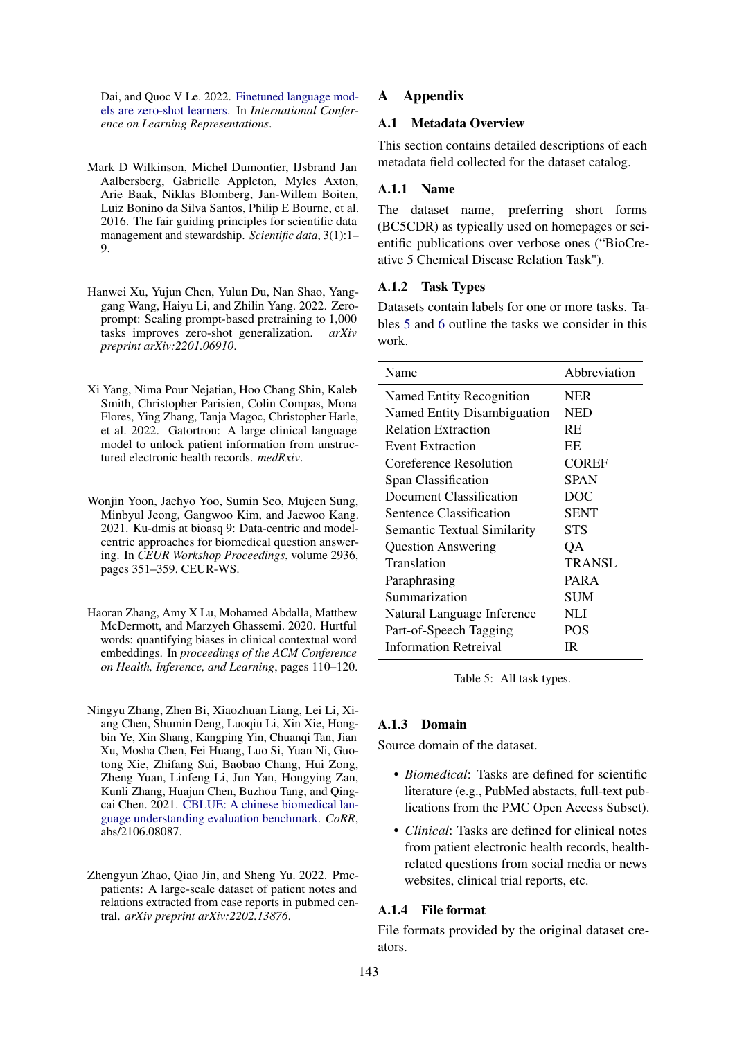Dai, and Quoc V Le. 2022. [Finetuned language mod](https://openreview.net/forum?id=gEZrGCozdqR)[els are zero-shot learners.](https://openreview.net/forum?id=gEZrGCozdqR) In *International Conference on Learning Representations*.

- <span id="page-6-5"></span>Mark D Wilkinson, Michel Dumontier, IJsbrand Jan Aalbersberg, Gabrielle Appleton, Myles Axton, Arie Baak, Niklas Blomberg, Jan-Willem Boiten, Luiz Bonino da Silva Santos, Philip E Bourne, et al. 2016. The fair guiding principles for scientific data management and stewardship. *Scientific data*, 3(1):1– 9.
- <span id="page-6-0"></span>Hanwei Xu, Yujun Chen, Yulun Du, Nan Shao, Yanggang Wang, Haiyu Li, and Zhilin Yang. 2022. Zeroprompt: Scaling prompt-based pretraining to 1,000 tasks improves zero-shot generalization. *arXiv preprint arXiv:2201.06910*.
- <span id="page-6-7"></span>Xi Yang, Nima Pour Nejatian, Hoo Chang Shin, Kaleb Smith, Christopher Parisien, Colin Compas, Mona Flores, Ying Zhang, Tanja Magoc, Christopher Harle, et al. 2022. Gatortron: A large clinical language model to unlock patient information from unstructured electronic health records. *medRxiv*.
- <span id="page-6-3"></span>Wonjin Yoon, Jaehyo Yoo, Sumin Seo, Mujeen Sung, Minbyul Jeong, Gangwoo Kim, and Jaewoo Kang. 2021. Ku-dmis at bioasq 9: Data-centric and modelcentric approaches for biomedical question answering. In *CEUR Workshop Proceedings*, volume 2936, pages 351–359. CEUR-WS.
- <span id="page-6-1"></span>Haoran Zhang, Amy X Lu, Mohamed Abdalla, Matthew McDermott, and Marzyeh Ghassemi. 2020. Hurtful words: quantifying biases in clinical contextual word embeddings. In *proceedings of the ACM Conference on Health, Inference, and Learning*, pages 110–120.
- <span id="page-6-4"></span>Ningyu Zhang, Zhen Bi, Xiaozhuan Liang, Lei Li, Xiang Chen, Shumin Deng, Luoqiu Li, Xin Xie, Hongbin Ye, Xin Shang, Kangping Yin, Chuanqi Tan, Jian Xu, Mosha Chen, Fei Huang, Luo Si, Yuan Ni, Guotong Xie, Zhifang Sui, Baobao Chang, Hui Zong, Zheng Yuan, Linfeng Li, Jun Yan, Hongying Zan, Kunli Zhang, Huajun Chen, Buzhou Tang, and Qingcai Chen. 2021. [CBLUE: A chinese biomedical lan](http://arxiv.org/abs/2106.08087)[guage understanding evaluation benchmark.](http://arxiv.org/abs/2106.08087) *CoRR*, abs/2106.08087.
- <span id="page-6-2"></span>Zhengyun Zhao, Qiao Jin, and Sheng Yu. 2022. Pmcpatients: A large-scale dataset of patient notes and relations extracted from case reports in pubmed central. *arXiv preprint arXiv:2202.13876*.

## <span id="page-6-6"></span>**Appendix**

# A.1 Metadata Overview

This section contains detailed descriptions of each metadata field collected for the dataset catalog.

#### A.1.1 Name

The dataset name, preferring short forms (BC5CDR) as typically used on homepages or scientific publications over verbose ones ("BioCreative 5 Chemical Disease Relation Task").

#### A.1.2 Task Types

Datasets contain labels for one or more tasks. Tables [5](#page-6-8) and [6](#page-7-0) outline the tasks we consider in this work.

<span id="page-6-8"></span>

| Name                               | Abbreviation |
|------------------------------------|--------------|
| Named Entity Recognition           | <b>NER</b>   |
| Named Entity Disambiguation        | NED          |
| <b>Relation Extraction</b>         | RE           |
| Event Extraction                   | EЕ           |
| Coreference Resolution             | <b>COREF</b> |
| Span Classification                | <b>SPAN</b>  |
| Document Classification            | DOC          |
| Sentence Classification            | <b>SENT</b>  |
| <b>Semantic Textual Similarity</b> | <b>STS</b>   |
| <b>Question Answering</b>          | OA           |
| Translation                        | TRANSL       |
| Paraphrasing                       | PARA         |
| Summarization                      | SUM          |
| Natural Language Inference         | NLI          |
| Part-of-Speech Tagging             | <b>POS</b>   |
| <b>Information Retreival</b>       | IR           |

Table 5: All task types.

### A.1.3 Domain

Source domain of the dataset.

- *Biomedical*: Tasks are defined for scientific literature (e.g., PubMed abstacts, full-text publications from the PMC Open Access Subset).
- *Clinical*: Tasks are defined for clinical notes from patient electronic health records, healthrelated questions from social media or news websites, clinical trial reports, etc.

### A.1.4 File format

File formats provided by the original dataset creators.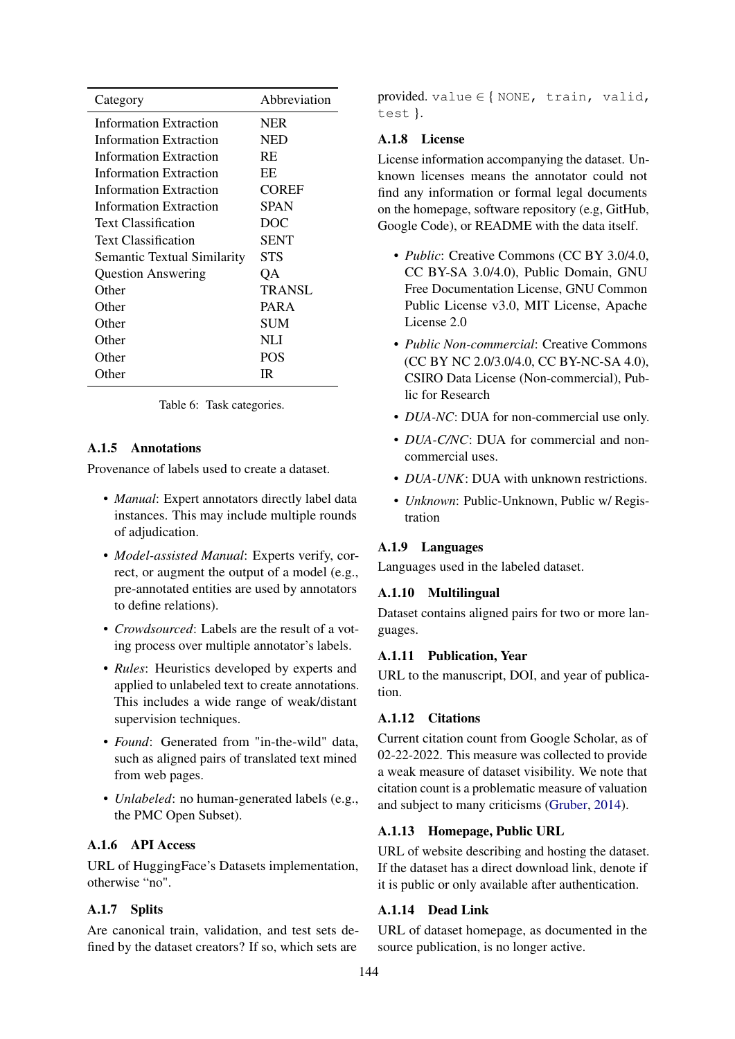<span id="page-7-0"></span>

| Category                           | Abbreviation |
|------------------------------------|--------------|
| Information Extraction             | <b>NER</b>   |
| Information Extraction             | <b>NED</b>   |
| Information Extraction             | <b>RE</b>    |
| Information Extraction             | EE           |
| Information Extraction             | <b>COREF</b> |
| Information Extraction             | SPAN         |
| <b>Text Classification</b>         | DOC          |
| <b>Text Classification</b>         | <b>SENT</b>  |
| <b>Semantic Textual Similarity</b> | <b>STS</b>   |
| <b>Question Answering</b>          | QA           |
| Other                              | TRANSL       |
| Other                              | PARA         |
| Other                              | <b>SUM</b>   |
| Other                              | NLI          |
| Other                              | <b>POS</b>   |
| Other                              | IR           |

Table 6: Task categories.

## A.1.5 Annotations

Provenance of labels used to create a dataset.

- *Manual*: Expert annotators directly label data instances. This may include multiple rounds of adjudication.
- *Model-assisted Manual*: Experts verify, correct, or augment the output of a model (e.g., pre-annotated entities are used by annotators to define relations).
- *Crowdsourced*: Labels are the result of a voting process over multiple annotator's labels.
- *Rules*: Heuristics developed by experts and applied to unlabeled text to create annotations. This includes a wide range of weak/distant supervision techniques.
- *Found*: Generated from "in-the-wild" data, such as aligned pairs of translated text mined from web pages.
- *Unlabeled*: no human-generated labels (e.g., the PMC Open Subset).

# A.1.6 API Access

URL of HuggingFace's Datasets implementation, otherwise "no".

# A.1.7 Splits

Are canonical train, validation, and test sets defined by the dataset creators? If so, which sets are

provided. value  $\in$  { NONE, train, valid, test }.

## A.1.8 License

License information accompanying the dataset. Unknown licenses means the annotator could not find any information or formal legal documents on the homepage, software repository (e.g, GitHub, Google Code), or README with the data itself.

- *Public*: Creative Commons (CC BY 3.0/4.0, CC BY-SA 3.0/4.0), Public Domain, GNU Free Documentation License, GNU Common Public License v3.0, MIT License, Apache License 2.0
- *Public Non-commercial*: Creative Commons (CC BY NC 2.0/3.0/4.0, CC BY-NC-SA 4.0), CSIRO Data License (Non-commercial), Public for Research
- *DUA-NC*: DUA for non-commercial use only.
- *DUA-C/NC*: DUA for commercial and noncommercial uses.
- *DUA-UNK*: DUA with unknown restrictions.
- *Unknown*: Public-Unknown, Public w/ Registration

## A.1.9 Languages

Languages used in the labeled dataset.

### A.1.10 Multilingual

Dataset contains aligned pairs for two or more languages.

## A.1.11 Publication, Year

URL to the manuscript, DOI, and year of publication.

## A.1.12 Citations

Current citation count from Google Scholar, as of 02-22-2022. This measure was collected to provide a weak measure of dataset visibility. We note that citation count is a problematic measure of valuation and subject to many criticisms [\(Gruber,](#page-4-16) [2014\)](#page-4-16).

# A.1.13 Homepage, Public URL

URL of website describing and hosting the dataset. If the dataset has a direct download link, denote if it is public or only available after authentication.

## A.1.14 Dead Link

URL of dataset homepage, as documented in the source publication, is no longer active.